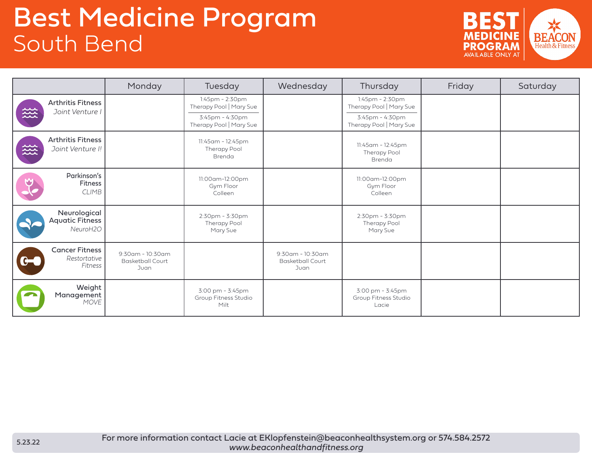## Best Medicine Program South Bend



|                                                    | Monday                                                    | Tuesday                                                                                  | Wednesday                                           | Thursday                                                                                 | Friday | Saturday |
|----------------------------------------------------|-----------------------------------------------------------|------------------------------------------------------------------------------------------|-----------------------------------------------------|------------------------------------------------------------------------------------------|--------|----------|
| <b>Arthritis Fitness</b><br>幾<br>Joint Venture I   |                                                           | 1:45pm - 2:30pm<br>Therapy Pool   Mary Sue<br>3:45pm - 4:30pm<br>Therapy Pool   Mary Sue |                                                     | 1:45pm - 2:30pm<br>Therapy Pool   Mary Sue<br>3:45pm - 4:30pm<br>Therapy Pool   Mary Sue |        |          |
| <b>Arthritis Fitness</b><br>幾<br>Joint Venture I!  |                                                           | 11:45am - 12:45pm<br>Therapy Pool<br>Brenda                                              |                                                     | 11:45am - 12:45pm<br><b>Therapy Pool</b><br>Brenda                                       |        |          |
| Parkinson's<br><b>Fitness</b><br><b>CLIMB</b>      |                                                           | 11:00am-12:00pm<br>Gym Floor<br>Colleen                                                  |                                                     | 11:00am-12:00pm<br>Gym Floor<br>Colleen                                                  |        |          |
| Neurological<br><b>Aquatic Fitness</b><br>NeuroH2O |                                                           | $2:30$ pm - $3:30$ pm<br>Therapy Pool<br>Mary Sue                                        |                                                     | 2:30pm - 3:30pm<br>Therapy Pool<br>Mary Sue                                              |        |          |
| <b>Cancer Fitness</b><br>Restortative<br>Fitness   | $9:30$ am - $10:30$ am<br><b>Basketball Court</b><br>Juan |                                                                                          | 9:30am - 10:30am<br><b>Basketball Court</b><br>Juan |                                                                                          |        |          |
| Weight<br>Management<br><b>MOVE</b>                |                                                           | 3:00 pm - 3:45pm<br>Group Fitness Studio<br>Milt                                         |                                                     | 3:00 pm - 3:45pm<br>Group Fitness Studio<br>Lacie                                        |        |          |